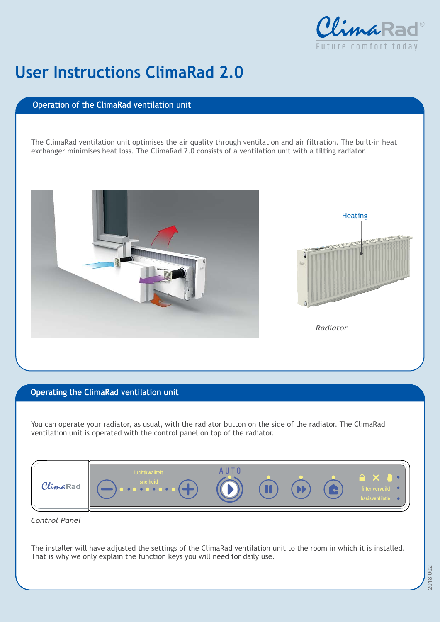

## **User Instructions Clima Rad 2.0**

## **Operation of the ClimaRad ventilation unit**

The ClimaRad ventilation unit optimises the air quality through ventilation and air filtration. The built-in heat exchanger minimises heat loss. The ClimaRad 2.0 consists of a ventilation unit with a tilting radiator.



## **Operating the ClimaRad ventilation unit**

You can operate your radiator, as usual, with the radiator button on the side of the radiator. The ClimaRad ventilation unit is operated with the control panel on top of the radiator.



*Control Panel*

The installer will have adjusted the settings of the ClimaRad ventilation unit to the room in which it is installed. That is why we only explain the function keys you will need for daily use.